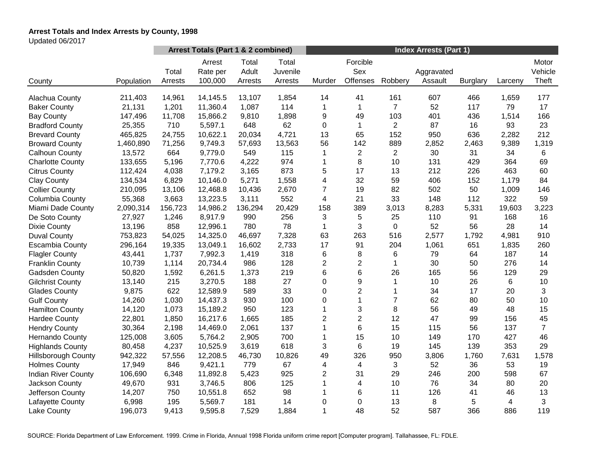# **Arrest Totals and Index Arrests by County, 1998**

Updated 06/2017

|                            |            | Arrest Totals (Part 1 & 2 combined) |                               |                           |                              | <b>Index Arrests (Part 1)</b> |                             |                |                       |                 |         |                           |
|----------------------------|------------|-------------------------------------|-------------------------------|---------------------------|------------------------------|-------------------------------|-----------------------------|----------------|-----------------------|-----------------|---------|---------------------------|
| County                     | Population | Total<br>Arrests                    | Arrest<br>Rate per<br>100,000 | Total<br>Adult<br>Arrests | Total<br>Juvenile<br>Arrests | Murder                        | Forcible<br>Sex<br>Offenses | Robbery        | Aggravated<br>Assault | <b>Burglary</b> | Larceny | Motor<br>Vehicle<br>Theft |
| Alachua County             | 211,403    | 14,961                              | 14,145.5                      | 13,107                    | 1,854                        | 14                            | 41                          | 161            | 607                   | 466             | 1,659   | 177                       |
| <b>Baker County</b>        | 21,131     | 1,201                               | 11,360.4                      | 1,087                     | 114                          | 1                             | $\mathbf{1}$                | $\overline{7}$ | 52                    | 117             | 79      | 17                        |
| <b>Bay County</b>          | 147,496    | 11,708                              | 15,866.2                      | 9,810                     | 1,898                        | 9                             | 49                          | 103            | 401                   | 436             | 1,514   | 166                       |
| <b>Bradford County</b>     | 25,355     | 710                                 | 5,597.1                       | 648                       | 62                           | 0                             | $\mathbf{1}$                | $\overline{2}$ | 87                    | 16              | 93      | 23                        |
| <b>Brevard County</b>      | 465,825    | 24,755                              | 10,622.1                      | 20,034                    | 4,721                        | 13                            | 65                          | 152            | 950                   | 636             | 2,282   | 212                       |
| <b>Broward County</b>      | 1,460,890  | 71,256                              | 9,749.3                       | 57,693                    | 13,563                       | 56                            | 142                         | 889            | 2,852                 | 2,463           | 9,389   | 1,319                     |
| Calhoun County             | 13,572     | 664                                 | 9,779.0                       | 549                       | 115                          | 1                             | $\overline{2}$              | $\overline{2}$ | 30                    | 31              | 34      | 6                         |
| <b>Charlotte County</b>    | 133,655    | 5,196                               | 7,770.6                       | 4,222                     | 974                          | 1                             | 8                           | 10             | 131                   | 429             | 364     | 69                        |
| <b>Citrus County</b>       | 112,424    | 4,038                               | 7,179.2                       | 3,165                     | 873                          | 5                             | 17                          | 13             | 212                   | 226             | 463     | 60                        |
| <b>Clay County</b>         | 134,534    | 6,829                               | 10,146.0                      | 5,271                     | 1,558                        | 4                             | 32                          | 59             | 406                   | 152             | 1,179   | 84                        |
| <b>Collier County</b>      | 210,095    | 13,106                              | 12,468.8                      | 10,436                    | 2,670                        | $\overline{7}$                | 19                          | 82             | 502                   | 50              | 1,009   | 146                       |
| Columbia County            | 55,368     | 3,663                               | 13,223.5                      | 3,111                     | 552                          | 4                             | 21                          | 33             | 148                   | 112             | 322     | 59                        |
| Miami Dade County          | 2,090,314  | 156,723                             | 14,986.2                      | 136,294                   | 20,429                       | 158                           | 389                         | 3,013          | 8,283                 | 5,331           | 19,603  | 3,223                     |
| De Soto County             | 27,927     | 1,246                               | 8,917.9                       | 990                       | 256                          | 3                             | 5                           | 25             | 110                   | 91              | 168     | 16                        |
| <b>Dixie County</b>        | 13,196     | 858                                 | 12,996.1                      | 780                       | 78                           | 1                             | 3                           | $\mathbf 0$    | 52                    | 56              | 28      | 14                        |
| <b>Duval County</b>        | 753,823    | 54,025                              | 14,325.0                      | 46,697                    | 7,328                        | 63                            | 263                         | 516            | 2,577                 | 1,792           | 4,981   | 910                       |
| <b>Escambia County</b>     | 296,164    | 19,335                              | 13,049.1                      | 16,602                    | 2,733                        | 17                            | 91                          | 204            | 1,061                 | 651             | 1,835   | 260                       |
| <b>Flagler County</b>      | 43,441     | 1,737                               | 7,992.3                       | 1,419                     | 318                          | 6                             | 8                           | 6              | 79                    | 64              | 187     | 14                        |
| <b>Franklin County</b>     | 10,739     | 1,114                               | 20,734.4                      | 986                       | 128                          | 2                             | $\overline{\mathbf{c}}$     | 1              | 30                    | 50              | 276     | 14                        |
| Gadsden County             | 50,820     | 1,592                               | 6,261.5                       | 1,373                     | 219                          | 6                             | 6                           | 26             | 165                   | 56              | 129     | 29                        |
| <b>Gilchrist County</b>    | 13,140     | 215                                 | 3,270.5                       | 188                       | 27                           | 0                             | 9                           | 1              | 10                    | 26              | 6       | 10                        |
| <b>Glades County</b>       | 9,875      | 622                                 | 12,589.9                      | 589                       | 33                           | 0                             | $\overline{2}$              | 1              | 34                    | 17              | 20      | 3                         |
| <b>Gulf County</b>         | 14,260     | 1,030                               | 14,437.3                      | 930                       | 100                          | 0                             | $\mathbf{1}$                | $\overline{7}$ | 62                    | 80              | 50      | 10                        |
| <b>Hamilton County</b>     | 14,120     | 1,073                               | 15,189.2                      | 950                       | 123                          | 1                             | 3                           | 8              | 56                    | 49              | 48      | 15                        |
| <b>Hardee County</b>       | 22,801     | 1,850                               | 16,217.6                      | 1,665                     | 185                          | $\overline{2}$                | $\overline{2}$              | 12             | 47                    | 99              | 156     | 45                        |
| <b>Hendry County</b>       | 30,364     | 2,198                               | 14,469.0                      | 2,061                     | 137                          | $\mathbf{1}$                  | 6                           | 15             | 115                   | 56              | 137     | $\overline{7}$            |
| <b>Hernando County</b>     | 125,008    | 3,605                               | 5,764.2                       | 2,905                     | 700                          | 1                             | 15                          | 10             | 149                   | 170             | 427     | 46                        |
| <b>Highlands County</b>    | 80,458     | 4,237                               | 10,525.9                      | 3,619                     | 618                          | 3                             | 6                           | 19             | 145                   | 139             | 353     | 29                        |
| <b>Hillsborough County</b> | 942,322    | 57,556                              | 12,208.5                      | 46,730                    | 10,826                       | 49                            | 326                         | 950            | 3,806                 | 1,760           | 7,631   | 1,578                     |
| <b>Holmes County</b>       | 17,949     | 846                                 | 9,421.1                       | 779                       | 67                           | 4                             | 4                           | 3              | 52                    | 36              | 53      | 19                        |
| <b>Indian River County</b> | 106,690    | 6,348                               | 11,892.8                      | 5,423                     | 925                          | $\overline{2}$                | 31                          | 29             | 246                   | 200             | 598     | 67                        |
| Jackson County             | 49,670     | 931                                 | 3,746.5                       | 806                       | 125                          | 1                             | 4                           | 10             | 76                    | 34              | 80      | 20                        |
| Jefferson County           | 14,207     | 750                                 | 10,551.8                      | 652                       | 98                           | 1                             | 6                           | 11             | 126                   | 41              | 46      | 13                        |
| Lafayette County           | 6,998      | 195                                 | 5,569.7                       | 181                       | 14                           | 0                             | 0                           | 13             | 8                     | 5               | 4       | 3                         |
| Lake County                | 196,073    | 9,413                               | 9,595.8                       | 7,529                     | 1,884                        | 1                             | 48                          | 52             | 587                   | 366             | 886     | 119                       |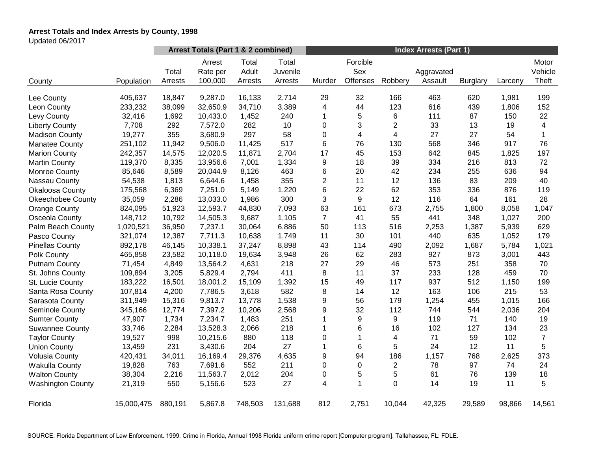# **Arrest Totals and Index Arrests by County, 1998**

Updated 06/2017

|                          |            | Arrest Totals (Part 1 & 2 combined) |                               |                           |                              | <b>Index Arrests (Part 1)</b> |                             |                         |                       |                 |         |                           |
|--------------------------|------------|-------------------------------------|-------------------------------|---------------------------|------------------------------|-------------------------------|-----------------------------|-------------------------|-----------------------|-----------------|---------|---------------------------|
| County                   | Population | Total<br>Arrests                    | Arrest<br>Rate per<br>100,000 | Total<br>Adult<br>Arrests | Total<br>Juvenile<br>Arrests | Murder                        | Forcible<br>Sex<br>Offenses | Robbery                 | Aggravated<br>Assault | <b>Burglary</b> | Larceny | Motor<br>Vehicle<br>Theft |
|                          |            |                                     |                               |                           |                              |                               |                             |                         |                       |                 |         |                           |
| Lee County               | 405,637    | 18,847                              | 9,287.0                       | 16,133                    | 2,714                        | 29                            | 32                          | 166                     | 463                   | 620             | 1,981   | 199                       |
| Leon County              | 233,232    | 38,099                              | 32,650.9                      | 34,710                    | 3,389                        | 4                             | 44                          | 123                     | 616                   | 439             | 1,806   | 152                       |
| Levy County              | 32,416     | 1,692                               | 10,433.0                      | 1,452                     | 240                          | 1                             | 5                           | 6                       | 111                   | 87              | 150     | 22                        |
| <b>Liberty County</b>    | 7,708      | 292                                 | 7,572.0                       | 282                       | 10                           | $\Omega$                      | 3                           | $\overline{\mathbf{c}}$ | 33                    | 13              | 19      | 4                         |
| <b>Madison County</b>    | 19,277     | 355                                 | 3,680.9                       | 297                       | 58                           | 0                             | $\overline{\mathbf{4}}$     | 4                       | 27                    | 27              | 54      | $\mathbf{1}$              |
| <b>Manatee County</b>    | 251,102    | 11,942                              | 9,506.0                       | 11,425                    | 517                          | 6                             | 76                          | 130                     | 568                   | 346             | 917     | 76                        |
| <b>Marion County</b>     | 242,357    | 14,575                              | 12,020.5                      | 11,871                    | 2,704                        | 17                            | 45                          | 153                     | 642                   | 845             | 1,825   | 197                       |
| <b>Martin County</b>     | 119,370    | 8,335                               | 13,956.6                      | 7,001                     | 1,334                        | 9                             | 18                          | 39                      | 334                   | 216             | 813     | 72                        |
| <b>Monroe County</b>     | 85,646     | 8,589                               | 20,044.9                      | 8,126                     | 463                          | 6                             | 20                          | 42                      | 234                   | 255             | 636     | 94                        |
| Nassau County            | 54,538     | 1,813                               | 6,644.6                       | 1,458                     | 355                          | $\overline{c}$                | 11                          | 12                      | 136                   | 83              | 209     | 40                        |
| <b>Okaloosa County</b>   | 175,568    | 6,369                               | 7,251.0                       | 5,149                     | 1,220                        | 6                             | 22                          | 62                      | 353                   | 336             | 876     | 119                       |
| <b>Okeechobee County</b> | 35,059     | 2,286                               | 13,033.0                      | 1,986                     | 300                          | 3                             | 9                           | 12                      | 116                   | 64              | 161     | 28                        |
| <b>Orange County</b>     | 824,095    | 51,923                              | 12,593.7                      | 44,830                    | 7,093                        | 63                            | 161                         | 673                     | 2,755                 | 1,800           | 8,058   | 1,047                     |
| Osceola County           | 148,712    | 10,792                              | 14,505.3                      | 9,687                     | 1,105                        | $\overline{7}$                | 41                          | 55                      | 441                   | 348             | 1,027   | 200                       |
| Palm Beach County        | 1,020,521  | 36,950                              | 7,237.1                       | 30,064                    | 6,886                        | 50                            | 113                         | 516                     | 2,253                 | 1,387           | 5,939   | 629                       |
| Pasco County             | 321,074    | 12,387                              | 7,711.3                       | 10,638                    | 1,749                        | 11                            | 30                          | 101                     | 440                   | 635             | 1,052   | 179                       |
| <b>Pinellas County</b>   | 892,178    | 46,145                              | 10,338.1                      | 37,247                    | 8,898                        | 43                            | 114                         | 490                     | 2,092                 | 1,687           | 5,784   | 1,021                     |
| Polk County              | 465,858    | 23,582                              | 10,118.0                      | 19,634                    | 3,948                        | 26                            | 62                          | 283                     | 927                   | 873             | 3,001   | 443                       |
| <b>Putnam County</b>     | 71,454     | 4,849                               | 13,564.2                      | 4,631                     | 218                          | 27                            | 29                          | 46                      | 573                   | 251             | 358     | 70                        |
| St. Johns County         | 109,894    | 3,205                               | 5,829.4                       | 2,794                     | 411                          | 8                             | 11                          | 37                      | 233                   | 128             | 459     | 70                        |
| St. Lucie County         | 183,222    | 16,501                              | 18,001.2                      | 15,109                    | 1,392                        | 15                            | 49                          | 117                     | 937                   | 512             | 1,150   | 199                       |
| Santa Rosa County        | 107,814    | 4,200                               | 7,786.5                       | 3,618                     | 582                          | 8                             | 14                          | 12                      | 163                   | 106             | 215     | 53                        |
| Sarasota County          | 311,949    | 15,316                              | 9,813.7                       | 13,778                    | 1,538                        | 9                             | 56                          | 179                     | 1,254                 | 455             | 1,015   | 166                       |
| Seminole County          | 345,166    | 12,774                              | 7,397.2                       | 10,206                    | 2,568                        | 9                             | 32                          | 112                     | 744                   | 544             | 2,036   | 204                       |
| <b>Sumter County</b>     | 47,907     | 1,734                               | 7,234.7                       | 1,483                     | 251                          | 1                             | 9                           | 9                       | 119                   | 71              | 140     | 19                        |
| <b>Suwannee County</b>   | 33,746     | 2,284                               | 13,528.3                      | 2,066                     | 218                          | 1                             | 6                           | 16                      | 102                   | 127             | 134     | 23                        |
| <b>Taylor County</b>     | 19,527     | 998                                 | 10,215.6                      | 880                       | 118                          | 0                             | $\mathbf{1}$                | 4                       | 71                    | 59              | 102     | $\overline{7}$            |
| <b>Union County</b>      | 13,459     | 231                                 | 3,430.6                       | 204                       | 27                           | 1                             | 6                           | 5                       | 24                    | 12              | 11      | 5                         |
| <b>Volusia County</b>    | 420,431    | 34,011                              | 16,169.4                      | 29,376                    | 4,635                        | 9                             | 94                          | 186                     | 1,157                 | 768             | 2,625   | 373                       |
| <b>Wakulla County</b>    | 19,828     | 763                                 | 7,691.6                       | 552                       | 211                          | 0                             | 0                           | $\overline{c}$          | 78                    | 97              | 74      | 24                        |
| <b>Walton County</b>     | 38,304     | 2,216                               | 11,563.7                      | 2,012                     | 204                          | 0                             | 5                           | 5                       | 61                    | 76              | 139     | 18                        |
| <b>Washington County</b> | 21,319     | 550                                 | 5,156.6                       | 523                       | 27                           | 4                             | 1                           | 0                       | 14                    | 19              | 11      | 5                         |
| Florida                  | 15,000,475 | 880,191                             | 5,867.8                       | 748,503                   | 131,688                      | 812                           | 2,751                       | 10,044                  | 42,325                | 29,589          | 98,866  | 14,561                    |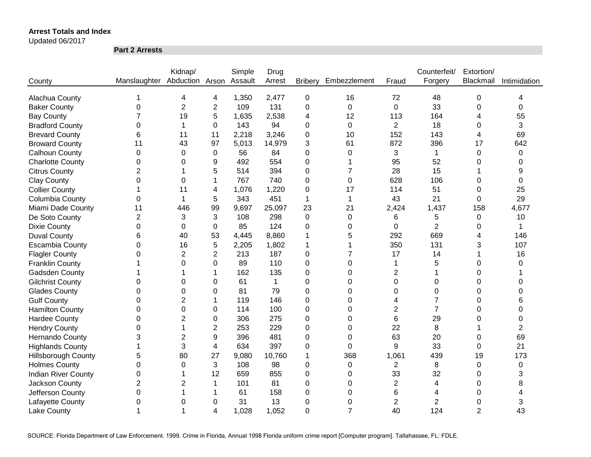Updated 06/2017

**Part 2 Arrests**

|                            |                              | Kidnap/        |                         | Simple  | Drug   |                |                |                | Counterfeit/   | Extortion/     |                |
|----------------------------|------------------------------|----------------|-------------------------|---------|--------|----------------|----------------|----------------|----------------|----------------|----------------|
| County                     | Manslaughter Abduction Arson |                |                         | Assault | Arrest | <b>Bribery</b> | Embezzlement   | Fraud          | Forgery        | Blackmail      | Intimidation   |
|                            |                              |                |                         |         |        |                |                |                |                |                |                |
| Alachua County             | 1                            | 4              | 4                       | 1,350   | 2,477  | 0              | 16             | 72             | 48             | 0              | 4              |
| <b>Baker County</b>        | 0                            | $\overline{2}$ | $\overline{\mathbf{c}}$ | 109     | 131    | $\mathbf 0$    | 0              | 0              | 33             | 0              | 0              |
| <b>Bay County</b>          | 7                            | 19             | 5                       | 1,635   | 2,538  | 4              | 12             | 113            | 164            | 4              | 55             |
| <b>Bradford County</b>     | 0                            | 1              | 0                       | 143     | 94     | 0              | 0              | $\overline{2}$ | 18             | 0              | 3              |
| <b>Brevard County</b>      | 6                            | 11             | 11                      | 2,218   | 3,246  | 0              | 10             | 152            | 143            | 4              | 69             |
| <b>Broward County</b>      | 11                           | 43             | 97                      | 5,013   | 14,979 | 3              | 61             | 872            | 396            | 17             | 642            |
| <b>Calhoun County</b>      | $\mathbf 0$                  | $\Omega$       | $\Omega$                | 56      | 84     | 0              | $\Omega$       | 3              | $\mathbf 1$    | 0              | 0              |
| <b>Charlotte County</b>    | 0                            | 0              | 9                       | 492     | 554    | 0              |                | 95             | 52             | 0              | 0              |
| <b>Citrus County</b>       | $\overline{2}$               |                | 5                       | 514     | 394    | 0              |                | 28             | 15             |                | 9              |
| <b>Clay County</b>         | 0                            | 0              | 1                       | 767     | 740    | 0              | 0              | 628            | 106            | 0              | 0              |
| <b>Collier County</b>      | 1                            | 11             | 4                       | 1,076   | 1,220  | 0              | 17             | 114            | 51             | 0              | 25             |
| Columbia County            | 0                            | 1              | 5                       | 343     | 451    | 1              | 1              | 43             | 21             | $\Omega$       | 29             |
| Miami Dade County          | 11                           | 446            | 99                      | 9,697   | 25,097 | 23             | 21             | 2,424          | 1,437          | 158            | 4,677          |
| De Soto County             | $\overline{2}$               | 3              | 3                       | 108     | 298    | 0              | 0              | 6              | 5              | 0              | 10             |
| <b>Dixie County</b>        | $\overline{0}$               | 0              | 0                       | 85      | 124    | 0              | $\Omega$       | 0              | $\overline{2}$ | $\Omega$       | 1              |
| <b>Duval County</b>        | 6                            | 40             | 53                      | 4,445   | 8,860  | 1              | 5              | 292            | 669            | 4              | 146            |
| <b>Escambia County</b>     | 0                            | 16             | 5                       | 2,205   | 1,802  | 1              |                | 350            | 131            | 3              | 107            |
| <b>Flagler County</b>      | 0                            | 2              | 2                       | 213     | 187    | 0              | 7              | 17             | 14             |                | 16             |
| <b>Franklin County</b>     |                              | $\Omega$       | 0                       | 89      | 110    | 0              | $\Omega$       | 1              | 5              | 0              | 0              |
| Gadsden County             |                              |                | 1                       | 162     | 135    | $\Omega$       | $\Omega$       | $\overline{2}$ |                | $\Omega$       |                |
| <b>Gilchrist County</b>    | 0                            | 0              | 0                       | 61      | 1      | 0              | $\Omega$       | 0              | $\Omega$       | 0              | $\Omega$       |
| <b>Glades County</b>       | 0                            | 0              | 0                       | 81      | 79     | $\Omega$       | $\Omega$       | 0              | $\overline{0}$ | 0              | $\Omega$       |
| <b>Gulf County</b>         | 0                            | $\overline{2}$ | 1                       | 119     | 146    | 0              | $\Omega$       | 4              | $\overline{7}$ | 0              | 6              |
| <b>Hamilton County</b>     | 0                            | $\Omega$       | 0                       | 114     | 100    | 0              | 0              | 2              | $\overline{7}$ | 0              | 0              |
| <b>Hardee County</b>       | 0                            | 2              | 0                       | 306     | 275    | 0              | $\Omega$       | 6              | 29             | 0              | 0              |
| <b>Hendry County</b>       | 0                            |                | 2                       | 253     | 229    | 0              | 0              | 22             | 8              |                | $\overline{2}$ |
| <b>Hernando County</b>     | 3                            | $\overline{2}$ | 9                       | 396     | 481    | 0              | 0              | 63             | 20             | 0              | 69             |
| <b>Highlands County</b>    |                              | 3              | 4                       | 634     | 397    | 0              | 0              | 9              | 33             | 0              | 21             |
| <b>Hillsborough County</b> | 5                            | 80             | 27                      | 9,080   | 10,760 | 1              | 368            | 1,061          | 439            | 19             | 173            |
| <b>Holmes County</b>       | 0                            | 0              | $\mathfrak{B}$          | 108     | 98     | $\mathbf 0$    | 0              | $\overline{2}$ | 8              | 0              | 0              |
| <b>Indian River County</b> | 0                            |                | 12                      | 659     | 855    | 0              | 0              | 33             | 32             | 0              | 3              |
| Jackson County             | $\overline{2}$               | 2              | 1                       | 101     | 81     | $\mathbf 0$    | 0              | $\overline{2}$ | 4              | 0              | 8              |
| Jefferson County           | 0                            |                |                         | 61      | 158    | 0              | 0              | 6              | 4              | 0              |                |
| Lafayette County           | 0                            | 0              | 0                       | 31      | 13     | 0              | 0              | $\overline{2}$ | $\overline{2}$ | 0              | 3              |
| <b>Lake County</b>         |                              |                | 4                       | 1,028   | 1,052  | $\overline{0}$ | $\overline{7}$ | 40             | 124            | $\overline{2}$ | 43             |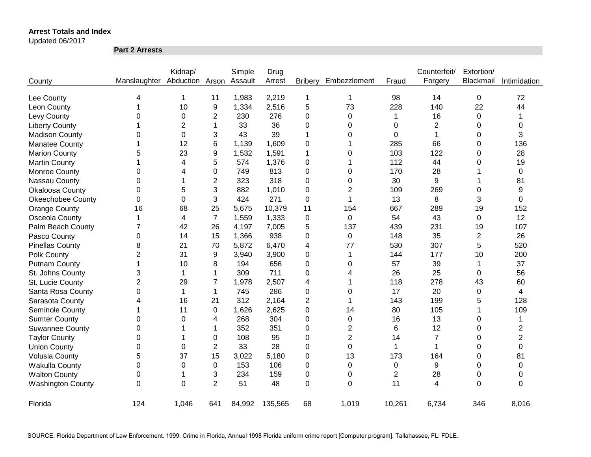#### Updated 06/2017

**Part 2 Arrests**

|                          |                | Kidnap/                 |                | Simple | Drug    |                |                |                | Counterfeit/   | Extortion/              |                |
|--------------------------|----------------|-------------------------|----------------|--------|---------|----------------|----------------|----------------|----------------|-------------------------|----------------|
| County                   | Manslaughter   | Abduction Arson Assault |                |        | Arrest  | <b>Bribery</b> | Embezzlement   | Fraud          | Forgery        | Blackmail               | Intimidation   |
| Lee County               | 4              | 1                       | 11             | 1,983  | 2,219   | $\mathbf 1$    | 1              | 98             | 14             | $\pmb{0}$               | 72             |
| Leon County              |                | 10                      | 9              | 1,334  | 2,516   | 5              | 73             | 228            | 140            | 22                      | 44             |
| Levy County              | 0              | 0                       | $\overline{2}$ | 230    | 276     | 0              | 0              | 1              | 16             | $\pmb{0}$               |                |
| <b>Liberty County</b>    |                | $\overline{2}$          | 1              | 33     | 36      | 0              | 0              | 0              | $\overline{2}$ | 0                       | 0              |
| <b>Madison County</b>    | 0              | 0                       | 3              | 43     | 39      | 1              | 0              | 0              | $\mathbf 1$    | 0                       | 3              |
| <b>Manatee County</b>    |                | 12                      | 6              | 1,139  | 1,609   | $\mathbf 0$    |                | 285            | 66             | 0                       | 136            |
| <b>Marion County</b>     | 5              | 23                      | 9              | 1,532  | 1,591   | 1              | 0              | 103            | 122            | 0                       | 28             |
| <b>Martin County</b>     |                | 4                       | 5              | 574    | 1,376   | 0              |                | 112            | 44             | 0                       | 19             |
| Monroe County            | 0              | 4                       | 0              | 749    | 813     | 0              | 0              | 170            | 28             |                         | 0              |
| Nassau County            | 0              |                         | $\overline{2}$ | 323    | 318     | 0              | 0              | 30             | 9              |                         | 81             |
| Okaloosa County          | 0              | 5                       | 3              | 882    | 1,010   | 0              | $\overline{2}$ | 109            | 269            | 0                       | 9              |
| <b>Okeechobee County</b> | 0              | 0                       | 3              | 424    | 271     | 0              | 1              | 13             | 8              | 3                       | 0              |
| <b>Orange County</b>     | 16             | 68                      | 25             | 5,675  | 10,379  | 11             | 154            | 667            | 289            | 19                      | 152            |
| Osceola County           | 1              | 4                       | $\overline{7}$ | 1,559  | 1,333   | $\pmb{0}$      | 0              | 54             | 43             | $\pmb{0}$               | 12             |
| Palm Beach County        | $\overline{7}$ | 42                      | 26             | 4,197  | 7,005   | 5              | 137            | 439            | 231            | 19                      | 107            |
| Pasco County             | 0              | 14                      | 15             | 1,366  | 938     | 0              | $\mathbf 0$    | 148            | 35             | $\overline{\mathbf{c}}$ | 26             |
| <b>Pinellas County</b>   | 8              | 21                      | 70             | 5,872  | 6,470   | 4              | 77             | 530            | 307            | 5                       | 520            |
| Polk County              | $\overline{2}$ | 31                      | 9              | 3,940  | 3,900   | 0              | 1              | 144            | 177            | 10                      | 200            |
| <b>Putnam County</b>     | 1              | 10                      | 8              | 194    | 656     | 0              | 0              | 57             | 39             | 1                       | 37             |
| St. Johns County         | 3              | 1                       | 1              | 309    | 711     | 0              | 4              | 26             | 25             | 0                       | 56             |
| St. Lucie County         | $\overline{2}$ | 29                      | $\overline{7}$ | 1,978  | 2,507   | 4              | 1              | 118            | 278            | 43                      | 60             |
| Santa Rosa County        | 0              | $\mathbf{1}$            | $\mathbf 1$    | 745    | 286     | 0              | 0              | 17             | 20             | 0                       | 4              |
| Sarasota County          | 4              | 16                      | 21             | 312    | 2,164   | $\overline{c}$ | 1              | 143            | 199            | 5                       | 128            |
| Seminole County          |                | 11                      | 0              | 1,626  | 2,625   | 0              | 14             | 80             | 105            |                         | 109            |
| <b>Sumter County</b>     | 0              | 0                       | 4              | 268    | 304     | 0              | 0              | 16             | 13             | 0                       | 1              |
| <b>Suwannee County</b>   | 0              |                         | 1              | 352    | 351     | 0              | $\overline{2}$ | 6              | 12             | 0                       | $\overline{2}$ |
| <b>Taylor County</b>     | 0              |                         | 0              | 108    | 95      | 0              | $\overline{2}$ | 14             | $\overline{7}$ | 0                       | $\overline{2}$ |
| <b>Union County</b>      | 0              | 0                       | 2              | 33     | 28      | 0              | 0              | $\mathbf{1}$   | $\mathbf{1}$   | 0                       | 0              |
| <b>Volusia County</b>    | 5              | 37                      | 15             | 3,022  | 5,180   | 0              | 13             | 173            | 164            | 0                       | 81             |
| Wakulla County           | 0              | 0                       | 0              | 153    | 106     | 0              | 0              | 0              | 9              | 0                       | 0              |
| <b>Walton County</b>     | 0              | 1                       | 3              | 234    | 159     | 0              | 0              | $\overline{2}$ | 28             | 0                       | 0              |
| <b>Washington County</b> | 0              | $\Omega$                | $\overline{2}$ | 51     | 48      | $\overline{0}$ | $\Omega$       | 11             | 4              | 0                       | $\Omega$       |
| Florida                  | 124            | 1,046                   | 641            | 84,992 | 135,565 | 68             | 1,019          | 10,261         | 6,734          | 346                     | 8,016          |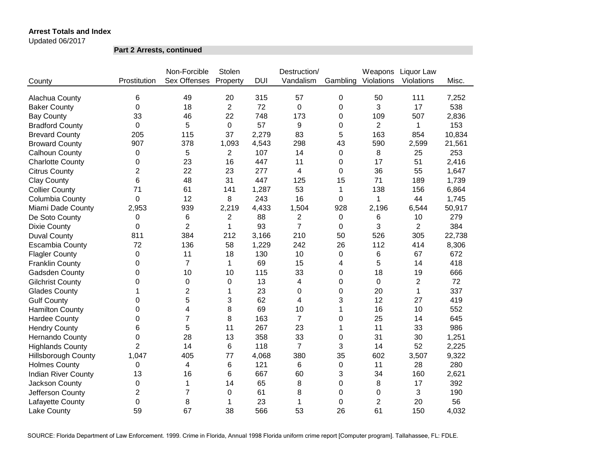Updated 06/2017

**Part 2 Arrests, continued**

|                            |                | Non-Forcible            | Stolen           |            | Destruction/   |              | Weapons        | Liquor Law     |        |
|----------------------------|----------------|-------------------------|------------------|------------|----------------|--------------|----------------|----------------|--------|
| County                     | Prostitution   | <b>Sex Offenses</b>     | Property         | <b>DUI</b> | Vandalism      | Gambling     | Violations     | Violations     | Misc.  |
|                            |                |                         |                  |            |                |              |                |                |        |
| Alachua County             | 6              | 49                      | 20               | 315        | 57             | 0            | 50             | 111            | 7,252  |
| <b>Baker County</b>        | $\mathbf 0$    | 18                      | $\overline{2}$   | 72         | $\mathbf 0$    | 0            | 3              | 17             | 538    |
| <b>Bay County</b>          | 33             | 46                      | 22               | 748        | 173            | 0            | 109            | 507            | 2,836  |
| <b>Bradford County</b>     | $\Omega$       | 5                       | 0                | 57         | 9              | 0            | $\overline{2}$ | 1              | 153    |
| <b>Brevard County</b>      | 205            | 115                     | 37               | 2,279      | 83             | 5            | 163            | 854            | 10,834 |
| <b>Broward County</b>      | 907            | 378                     | 1,093            | 4,543      | 298            | 43           | 590            | 2,599          | 21,561 |
| Calhoun County             | 0              | 5                       | $\overline{2}$   | 107        | 14             | 0            | 8              | 25             | 253    |
| <b>Charlotte County</b>    | 0              | 23                      | 16               | 447        | 11             | 0            | 17             | 51             | 2,416  |
| <b>Citrus County</b>       | $\overline{2}$ | 22                      | 23               | 277        | 4              | 0            | 36             | 55             | 1,647  |
| <b>Clay County</b>         | 6              | 48                      | 31               | 447        | 125            | 15           | 71             | 189            | 1,739  |
| <b>Collier County</b>      | 71             | 61                      | 141              | 1,287      | 53             | 1            | 138            | 156            | 6,864  |
| Columbia County            | 0              | 12                      | 8                | 243        | 16             | 0            | 1              | 44             | 1,745  |
| Miami Dade County          | 2,953          | 939                     | 2,219            | 4,433      | 1,504          | 928          | 2,196          | 6,544          | 50,917 |
| De Soto County             | 0              | 6                       | $\overline{2}$   | 88         | $\overline{2}$ | 0            | 6              | 10             | 279    |
| <b>Dixie County</b>        | $\Omega$       | $\overline{2}$          | 1                | 93         | $\overline{7}$ | 0            | 3              | $\overline{2}$ | 384    |
| <b>Duval County</b>        | 811            | 384                     | 212              | 3,166      | 210            | 50           | 526            | 305            | 22,738 |
| <b>Escambia County</b>     | 72             | 136                     | 58               | 1,229      | 242            | 26           | 112            | 414            | 8,306  |
| <b>Flagler County</b>      | 0              | 11                      | 18               | 130        | 10             | 0            | 6              | 67             | 672    |
| <b>Franklin County</b>     | 0              | $\overline{7}$          | $\mathbf{1}$     | 69         | 15             | 4            | 5              | 14             | 418    |
| Gadsden County             | 0              | 10                      | 10               | 115        | 33             | 0            | 18             | 19             | 666    |
| <b>Gilchrist County</b>    | 0              | 0                       | $\boldsymbol{0}$ | 13         | $\overline{4}$ | 0            | 0              | $\overline{2}$ | 72     |
| <b>Glades County</b>       | 1              | $\overline{2}$          | $\mathbf{1}$     | 23         | $\Omega$       | 0            | 20             | $\mathbf{1}$   | 337    |
| <b>Gulf County</b>         | 0              | 5                       | 3                | 62         | $\overline{4}$ | 3            | 12             | 27             | 419    |
| <b>Hamilton County</b>     | $\Omega$       | $\overline{\mathbf{4}}$ | 8                | 69         | 10             | $\mathbf{1}$ | 16             | 10             | 552    |
| <b>Hardee County</b>       | 0              | $\overline{7}$          | 8                | 163        | $\overline{7}$ | 0            | 25             | 14             | 645    |
| <b>Hendry County</b>       | 6              | 5                       | 11               | 267        | 23             | 1            | 11             | 33             | 986    |
| Hernando County            | 0              | 28                      | 13               | 358        | 33             | 0            | 31             | 30             | 1,251  |
| <b>Highlands County</b>    | $\overline{2}$ | 14                      | 6                | 118        | $\overline{7}$ | 3            | 14             | 52             | 2,225  |
| <b>Hillsborough County</b> | 1,047          | 405                     | 77               | 4,068      | 380            | 35           | 602            | 3,507          | 9,322  |
| <b>Holmes County</b>       | 0              | $\overline{4}$          | 6                | 121        | 6              | 0            | 11             | 28             | 280    |
| <b>Indian River County</b> | 13             | 16                      | 6                | 667        | 60             | 3            | 34             | 160            | 2,621  |
| Jackson County             | 0              | $\mathbf{1}$            | 14               | 65         | 8              | 0            | 8              | 17             | 392    |
| Jefferson County           | $\overline{2}$ | $\overline{7}$          | 0                | 61         | 8              | 0            | 0              | 3              | 190    |
| Lafayette County           | 0              | 8                       | 1                | 23         | 1              | 0            | $\overline{2}$ | 20             | 56     |
| <b>Lake County</b>         | 59             | 67                      | 38               | 566        | 53             | 26           | 61             | 150            | 4,032  |